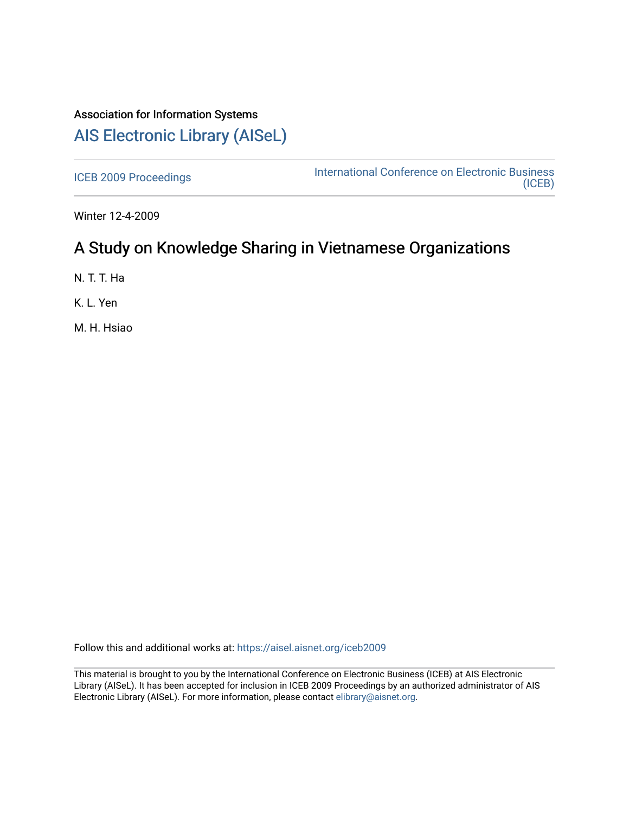# Association for Information Systems

# [AIS Electronic Library \(AISeL\)](https://aisel.aisnet.org/)

[ICEB 2009 Proceedings](https://aisel.aisnet.org/iceb2009) **International Conference on Electronic Business** [\(ICEB\)](https://aisel.aisnet.org/iceb) 

Winter 12-4-2009

# A Study on Knowledge Sharing in Vietnamese Organizations

N. T. T. Ha

K. L. Yen

M. H. Hsiao

Follow this and additional works at: [https://aisel.aisnet.org/iceb2009](https://aisel.aisnet.org/iceb2009?utm_source=aisel.aisnet.org%2Ficeb2009%2F98&utm_medium=PDF&utm_campaign=PDFCoverPages)

This material is brought to you by the International Conference on Electronic Business (ICEB) at AIS Electronic Library (AISeL). It has been accepted for inclusion in ICEB 2009 Proceedings by an authorized administrator of AIS Electronic Library (AISeL). For more information, please contact [elibrary@aisnet.org.](mailto:elibrary@aisnet.org%3E)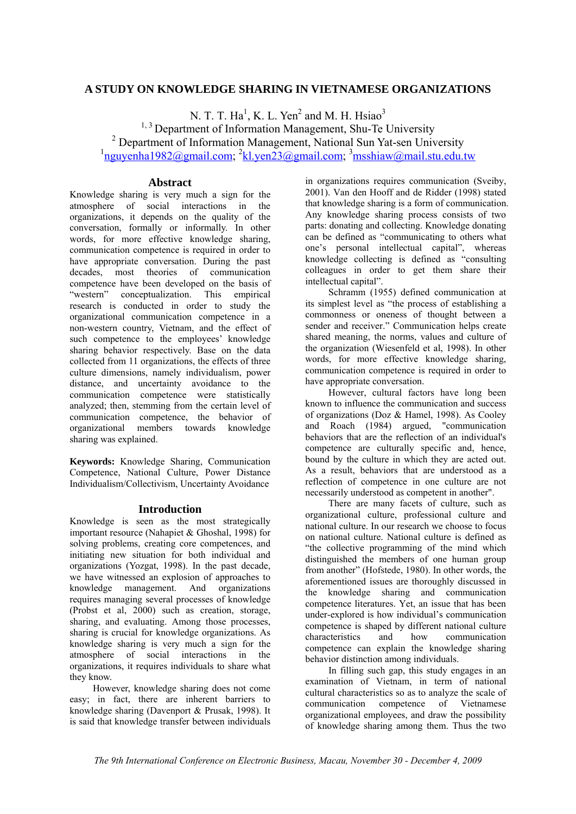### **A STUDY ON KNOWLEDGE SHARING IN VIETNAMESE ORGANIZATIONS**

N. T. T. Ha<sup>1</sup>, K. L. Yen<sup>2</sup> and M. H. Hsiao<sup>3</sup> <sup>1, 3</sup> Department of Information Management, Shu-Te University <sup>2</sup> Department of Information Management, National Sun Yat-sen University <sup>1</sup>nguyenha1982@gmail.com; <sup>2</sup>kl.yen23@gmail.com; <sup>3</sup>msshiaw@mail.stu.edu.tw

### **Abstract**

Knowledge sharing is very much a sign for the atmosphere of social interactions in the organizations, it depends on the quality of the conversation, formally or informally. In other words, for more effective knowledge sharing, communication competence is required in order to have appropriate conversation. During the past decades, most theories of communication competence have been developed on the basis of "western" conceptualization. This empirical research is conducted in order to study the organizational communication competence in a non-western country, Vietnam, and the effect of such competence to the employees' knowledge sharing behavior respectively. Base on the data collected from 11 organizations, the effects of three culture dimensions, namely individualism, power distance, and uncertainty avoidance to the communication competence were statistically analyzed; then, stemming from the certain level of communication competence, the behavior of organizational members towards knowledge sharing was explained.

**Keywords:** Knowledge Sharing, Communication Competence, National Culture, Power Distance Individualism/Collectivism, Uncertainty Avoidance

#### **Introduction**

Knowledge is seen as the most strategically important resource (Nahapiet & Ghoshal, 1998) for solving problems, creating core competences, and initiating new situation for both individual and organizations (Yozgat, 1998). In the past decade, we have witnessed an explosion of approaches to knowledge management. And organizations requires managing several processes of knowledge (Probst et al, 2000) such as creation, storage, sharing, and evaluating. Among those processes, sharing is crucial for knowledge organizations. As knowledge sharing is very much a sign for the atmosphere of social interactions in the organizations, it requires individuals to share what they know.

However, knowledge sharing does not come easy; in fact, there are inherent barriers to knowledge sharing (Davenport & Prusak, 1998). It is said that knowledge transfer between individuals

in organizations requires communication (Sveiby, 2001). Van den Hooff and de Ridder (1998) stated that knowledge sharing is a form of communication. Any knowledge sharing process consists of two parts: donating and collecting. Knowledge donating can be defined as "communicating to others what one's personal intellectual capital", whereas knowledge collecting is defined as "consulting colleagues in order to get them share their intellectual capital".

Schramm (1955) defined communication at its simplest level as "the process of establishing a commonness or oneness of thought between a sender and receiver." Communication helps create shared meaning, the norms, values and culture of the organization (Wiesenfeld et al, 1998). In other words, for more effective knowledge sharing, communication competence is required in order to have appropriate conversation.

However, cultural factors have long been known to influence the communication and success of organizations (Doz & Hamel, 1998). As Cooley and Roach (1984) argued, "communication behaviors that are the reflection of an individual's competence are culturally specific and, hence, bound by the culture in which they are acted out. As a result, behaviors that are understood as a reflection of competence in one culture are not necessarily understood as competent in another".

There are many facets of culture, such as organizational culture, professional culture and national culture. In our research we choose to focus on national culture. National culture is defined as "the collective programming of the mind which distinguished the members of one human group from another" (Hofstede, 1980). In other words, the aforementioned issues are thoroughly discussed in the knowledge sharing and communication competence literatures. Yet, an issue that has been under-explored is how individual's communication competence is shaped by different national culture characteristics and how communication competence can explain the knowledge sharing behavior distinction among individuals.

In filling such gap, this study engages in an examination of Vietnam, in term of national cultural characteristics so as to analyze the scale of communication competence of Vietnamese organizational employees, and draw the possibility of knowledge sharing among them. Thus the two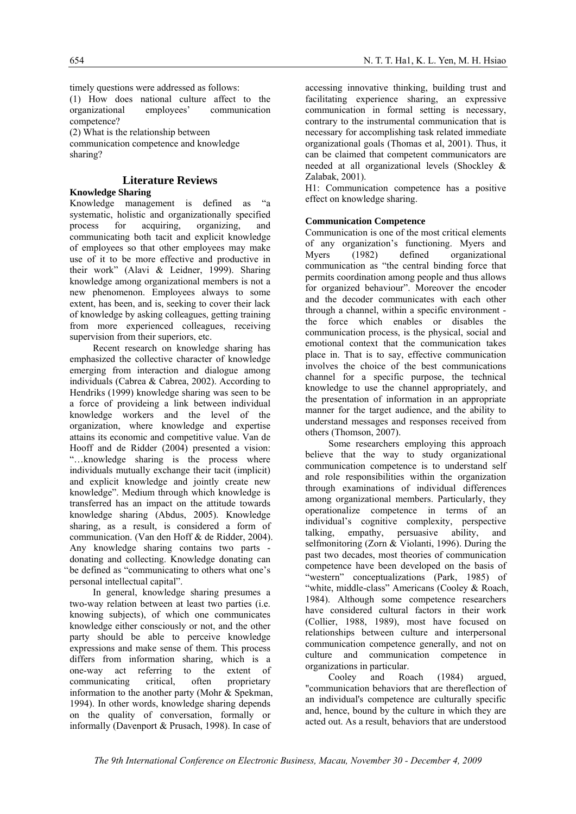timely questions were addressed as follows:

(1) How does national culture affect to the organizational employees' communication competence?

(2) What is the relationship between

communication competence and knowledge sharing?

## **Literature Reviews**

#### **Knowledge Sharing**

Knowledge management is defined as "a systematic, holistic and organizationally specified process for acquiring, organizing, and communicating both tacit and explicit knowledge of employees so that other employees may make use of it to be more effective and productive in their work" (Alavi & Leidner, 1999). Sharing knowledge among organizational members is not a new phenomenon. Employees always to some extent, has been, and is, seeking to cover their lack of knowledge by asking colleagues, getting training from more experienced colleagues, receiving supervision from their superiors, etc.

Recent research on knowledge sharing has emphasized the collective character of knowledge emerging from interaction and dialogue among individuals (Cabrea & Cabrea, 2002). According to Hendriks (1999) knowledge sharing was seen to be a force of provideing a link between individual knowledge workers and the level of the organization, where knowledge and expertise attains its economic and competitive value. Van de Hooff and de Ridder (2004) presented a vision: "…knowledge sharing is the process where individuals mutually exchange their tacit (implicit) and explicit knowledge and jointly create new knowledge". Medium through which knowledge is transferred has an impact on the attitude towards knowledge sharing (Abdus, 2005). Knowledge sharing, as a result, is considered a form of communication. (Van den Hoff & de Ridder, 2004). Any knowledge sharing contains two parts donating and collecting. Knowledge donating can be defined as "communicating to others what one's personal intellectual capital".

In general, knowledge sharing presumes a two-way relation between at least two parties (i.e. knowing subjects), of which one communicates knowledge either consciously or not, and the other party should be able to perceive knowledge expressions and make sense of them. This process differs from information sharing, which is a one-way act referring to the extent of communicating critical, often proprietary information to the another party (Mohr & Spekman, 1994). In other words, knowledge sharing depends on the quality of conversation, formally or informally (Davenport & Prusach, 1998). In case of

accessing innovative thinking, building trust and facilitating experience sharing, an expressive communication in formal setting is necessary, contrary to the instrumental communication that is necessary for accomplishing task related immediate organizational goals (Thomas et al, 2001). Thus, it can be claimed that competent communicators are needed at all organizational levels (Shockley & Zalabak, 2001).

H1: Communication competence has a positive effect on knowledge sharing.

#### **Communication Competence**

Communication is one of the most critical elements of any organization's functioning. Myers and Myers (1982) defined organizational communication as "the central binding force that permits coordination among people and thus allows for organized behaviour". Moreover the encoder and the decoder communicates with each other through a channel, within a specific environment the force which enables or disables the communication process, is the physical, social and emotional context that the communication takes place in. That is to say, effective communication involves the choice of the best communications channel for a specific purpose, the technical knowledge to use the channel appropriately, and the presentation of information in an appropriate manner for the target audience, and the ability to understand messages and responses received from others (Thomson, 2007).

Some researchers employing this approach believe that the way to study organizational communication competence is to understand self and role responsibilities within the organization through examinations of individual differences among organizational members. Particularly, they operationalize competence in terms of an individual's cognitive complexity, perspective talking, empathy, persuasive ability, and selfmonitoring (Zorn & Violanti, 1996). During the past two decades, most theories of communication competence have been developed on the basis of "western" conceptualizations (Park, 1985) of "white, middle-class" Americans (Cooley & Roach, 1984). Although some competence researchers have considered cultural factors in their work (Collier, 1988, 1989), most have focused on relationships between culture and interpersonal communication competence generally, and not on culture and communication competence in organizations in particular.

Cooley and Roach (1984) argued, "communication behaviors that are thereflection of an individual's competence are culturally specific and, hence, bound by the culture in which they are acted out. As a result, behaviors that are understood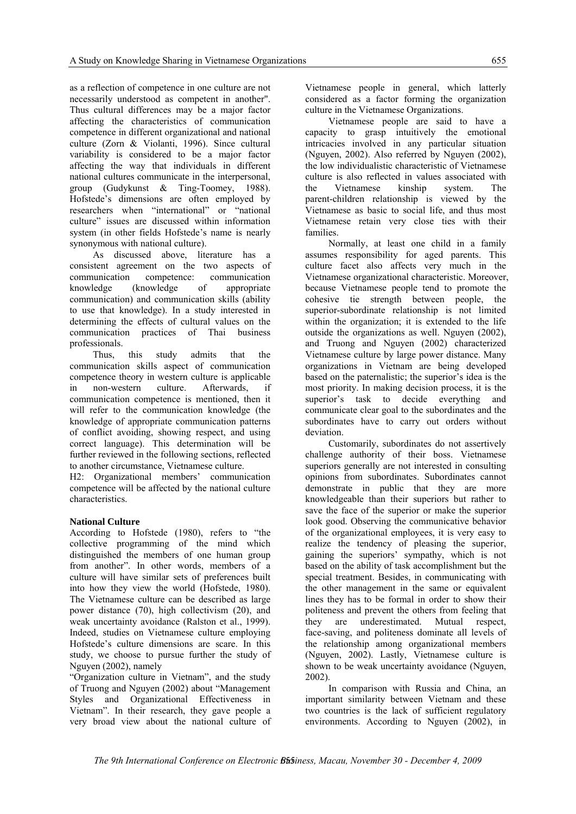as a reflection of competence in one culture are not necessarily understood as competent in another". Thus cultural differences may be a major factor affecting the characteristics of communication competence in different organizational and national culture (Zorn & Violanti, 1996). Since cultural variability is considered to be a major factor affecting the way that individuals in different national cultures communicate in the interpersonal, group (Gudykunst & Ting-Toomey, 1988). Hofstede's dimensions are often employed by researchers when "international" or "national culture" issues are discussed within information system (in other fields Hofstede's name is nearly synonymous with national culture).

As discussed above, literature has a consistent agreement on the two aspects of communication competence: communication knowledge (knowledge of appropriate communication) and communication skills (ability to use that knowledge). In a study interested in determining the effects of cultural values on the communication practices of Thai business professionals.

Thus, this study admits that the communication skills aspect of communication competence theory in western culture is applicable in non-western culture. Afterwards, if communication competence is mentioned, then it will refer to the communication knowledge (the knowledge of appropriate communication patterns of conflict avoiding, showing respect, and using correct language). This determination will be further reviewed in the following sections, reflected to another circumstance, Vietnamese culture.

H2: Organizational members' communication competence will be affected by the national culture characteristics.

#### **National Culture**

According to Hofstede (1980), refers to "the collective programming of the mind which distinguished the members of one human group from another". In other words, members of a culture will have similar sets of preferences built into how they view the world (Hofstede, 1980). The Vietnamese culture can be described as large power distance (70), high collectivism (20), and weak uncertainty avoidance (Ralston et al., 1999). Indeed, studies on Vietnamese culture employing Hofstede's culture dimensions are scare. In this study, we choose to pursue further the study of Nguyen (2002), namely

"Organization culture in Vietnam", and the study of Truong and Nguyen (2002) about "Management Styles and Organizational Effectiveness in Vietnam". In their research, they gave people a very broad view about the national culture of Vietnamese people in general, which latterly considered as a factor forming the organization culture in the Vietnamese Organizations.

Vietnamese people are said to have a capacity to grasp intuitively the emotional intricacies involved in any particular situation (Nguyen, 2002). Also referred by Nguyen (2002), the low individualistic characteristic of Vietnamese culture is also reflected in values associated with the Vietnamese kinship system. The parent-children relationship is viewed by the Vietnamese as basic to social life, and thus most Vietnamese retain very close ties with their families.

Normally, at least one child in a family assumes responsibility for aged parents. This culture facet also affects very much in the Vietnamese organizational characteristic. Moreover, because Vietnamese people tend to promote the cohesive tie strength between people, the superior-subordinate relationship is not limited within the organization; it is extended to the life outside the organizations as well. Nguyen (2002), and Truong and Nguyen (2002) characterized Vietnamese culture by large power distance. Many organizations in Vietnam are being developed based on the paternalistic; the superior's idea is the most priority. In making decision process, it is the superior's task to decide everything and communicate clear goal to the subordinates and the subordinates have to carry out orders without deviation.

Customarily, subordinates do not assertively challenge authority of their boss. Vietnamese superiors generally are not interested in consulting opinions from subordinates. Subordinates cannot demonstrate in public that they are more knowledgeable than their superiors but rather to save the face of the superior or make the superior look good. Observing the communicative behavior of the organizational employees, it is very easy to realize the tendency of pleasing the superior, gaining the superiors' sympathy, which is not based on the ability of task accomplishment but the special treatment. Besides, in communicating with the other management in the same or equivalent lines they has to be formal in order to show their politeness and prevent the others from feeling that they are underestimated. Mutual respect, face-saving, and politeness dominate all levels of the relationship among organizational members (Nguyen, 2002). Lastly, Vietnamese culture is shown to be weak uncertainty avoidance (Nguyen, 2002).

In comparison with Russia and China, an important similarity between Vietnam and these two countries is the lack of sufficient regulatory environments. According to Nguyen (2002), in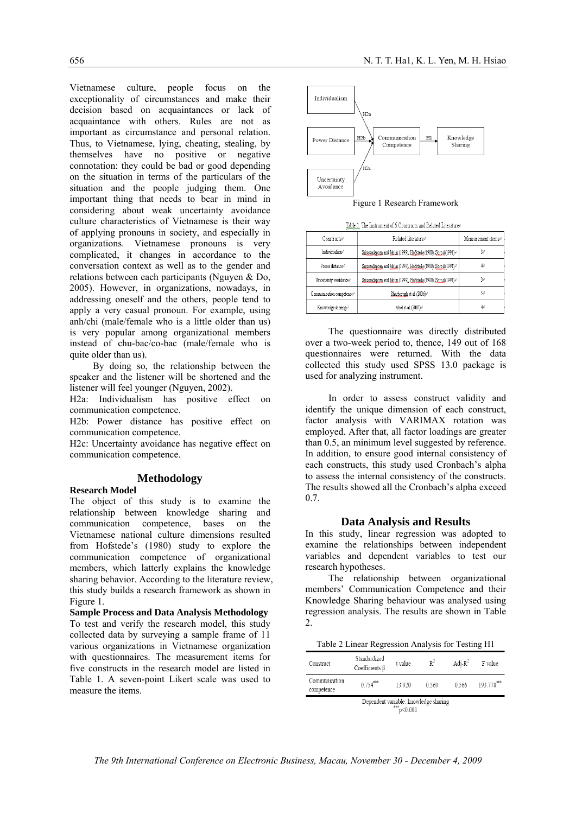Vietnamese culture, people focus on the exceptionality of circumstances and make their decision based on acquaintances or lack of acquaintance with others. Rules are not as important as circumstance and personal relation. Thus, to Vietnamese, lying, cheating, stealing, by themselves have no positive or negative connotation: they could be bad or good depending on the situation in terms of the particulars of the situation and the people judging them. One important thing that needs to bear in mind in considering about weak uncertainty avoidance culture characteristics of Vietnamese is their way of applying pronouns in society, and especially in organizations. Vietnamese pronouns is very complicated, it changes in accordance to the conversation context as well as to the gender and relations between each participants (Nguyen & Do, 2005). However, in organizations, nowadays, in addressing oneself and the others, people tend to apply a very casual pronoun. For example, using anh/chi (male/female who is a little older than us) is very popular among organizational members instead of chu-bac/co-bac (male/female who is quite older than us).

By doing so, the relationship between the speaker and the listener will be shortened and the listener will feel younger (Nguyen, 2002).

H2a: Individualism has positive effect on communication competence.

H2b: Power distance has positive effect on communication competence.

H2c: Uncertainty avoidance has negative effect on communication competence.

#### **Methodology**

**Research Model** 

The object of this study is to examine the relationship between knowledge sharing and communication competence, bases on the Vietnamese national culture dimensions resulted from Hofstede's (1980) study to explore the communication competence of organizational members, which latterly explains the knowledge sharing behavior. According to the literature review, this study builds a research framework as shown in Figure 1.

**Sample Process and Data Analysis Methodology**  To test and verify the research model, this study collected data by surveying a sample frame of 11 various organizations in Vietnamese organization with questionnaires. The measurement items for five constructs in the research model are listed in Table 1. A seven-point Likert scale was used to measure the items.



Figure 1 Research Framework

| Table 1. The Instrument of 5 Constructs and Related Literatur |  |  |  |
|---------------------------------------------------------------|--|--|--|

| <b><i>NNMMMWWWW</i></b>     |                                                                           |                    |
|-----------------------------|---------------------------------------------------------------------------|--------------------|
| Constructse                 | Related literature#                                                       | Measurement itemse |
| Individualism€              | Smussadapom and Jablin (1999), Hofstede (1980), Sprod (1991) <sup>2</sup> | 30                 |
| Power distance <sup>p</sup> | Smussadapom and Jablin (1999), Hofstede (1980), Sorod (1991) <sup>2</sup> | 40                 |
| Uncertainty avoidance+      | Smussadapom and Jablin (1999), Hofstede (1980), Sorod (1991) <sup>,</sup> | 30                 |
| Communication competence+1  | Sharbrough et al. (2006) <sup>c</sup>                                     | 50                 |
| Knowledge sharing+          | Abel et al. (2007) <sup>c</sup>                                           | 40                 |

The questionnaire was directly distributed over a two-week period to, thence, 149 out of 168 questionnaires were returned. With the data collected this study used SPSS 13.0 package is used for analyzing instrument.

In order to assess construct validity and identify the unique dimension of each construct, factor analysis with VARIMAX rotation was employed. After that, all factor loadings are greater than 0.5, an minimum level suggested by reference. In addition, to ensure good internal consistency of each constructs, this study used Cronbach's alpha to assess the internal consistency of the constructs. The results showed all the Cronbach's alpha exceed 0.7.

#### **Data Analysis and Results**

In this study, linear regression was adopted to examine the relationships between independent variables and dependent variables to test our research hypotheses.

The relationship between organizational members' Communication Competence and their Knowledge Sharing behaviour was analysed using regression analysis. The results are shown in Table  $\mathcal{L}$ 

Table 2 Linear Regression Analysis for Testing H1

| Construct                   | Standardized<br>Coefficients B        | t value                  | $R^2$ | Adi- $R^2$ | F value    |
|-----------------------------|---------------------------------------|--------------------------|-------|------------|------------|
| Communication<br>competence | $0.754***$                            | 13.920                   | 0.569 | 0.566      | 193.778*** |
|                             | Dependent variable: knowledge sharing | $\binom{***}{p}$ < 0.001 |       |            |            |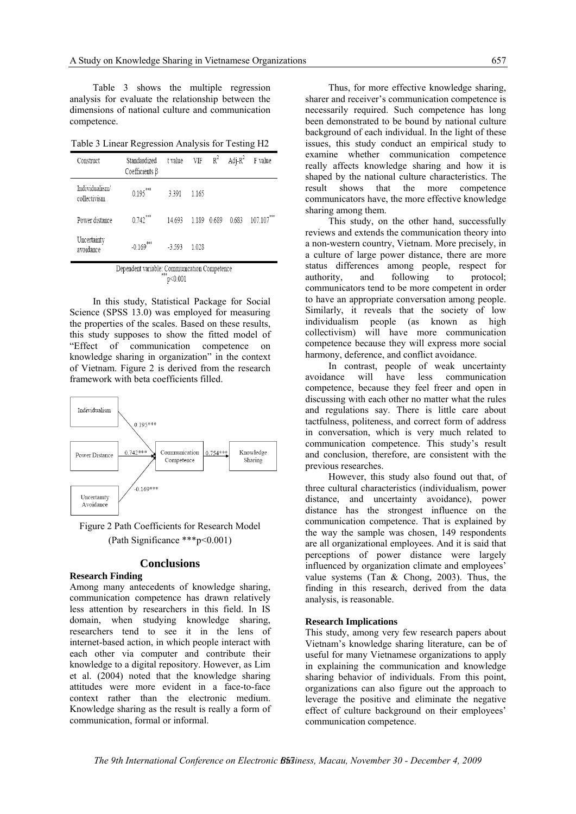Table 3 shows the multiple regression analysis for evaluate the relationship between the dimensions of national culture and communication competence.

Table 3 Linear Regression Analysis for Testing H2

| Construct                      | Standardized<br>Coefficients $\beta$ | t value  | VIF   |       | $R^2$ Adj- $R^2$ | F value    |
|--------------------------------|--------------------------------------|----------|-------|-------|------------------|------------|
| Individualism/<br>collectivism | $0.195***$                           | 3.391    | 1.165 |       |                  |            |
| Power distance                 | $0.742***$                           | 14.693   | 1.189 | 0.689 | 0.683            | 107.107*** |
| Uncertainty<br>avoidance       | $-0.169***$                          | $-3.593$ | 1028  |       |                  |            |

Dependent variable: Communication Competence  $\mathrm{p}$ <0.001

In this study, Statistical Package for Social Science (SPSS 13.0) was employed for measuring the properties of the scales. Based on these results, this study supposes to show the fitted model of "Effect of communication competence on knowledge sharing in organization" in the context of Vietnam. Figure 2 is derived from the research framework with beta coefficients filled.



Figure 2 Path Coefficients for Research Model (Path Significance \*\*\*p<0.001)

#### **Conclusions**

#### **Research Finding**

Among many antecedents of knowledge sharing, communication competence has drawn relatively less attention by researchers in this field. In IS domain, when studying knowledge sharing, researchers tend to see it in the lens of internet-based action, in which people interact with each other via computer and contribute their knowledge to a digital repository. However, as Lim et al. (2004) noted that the knowledge sharing attitudes were more evident in a face-to-face context rather than the electronic medium. Knowledge sharing as the result is really a form of communication, formal or informal.

Thus, for more effective knowledge sharing, sharer and receiver's communication competence is necessarily required. Such competence has long been demonstrated to be bound by national culture background of each individual. In the light of these issues, this study conduct an empirical study to examine whether communication competence really affects knowledge sharing and how it is shaped by the national culture characteristics. The result shows that the more competence communicators have, the more effective knowledge sharing among them.

This study, on the other hand, successfully reviews and extends the communication theory into a non-western country, Vietnam. More precisely, in a culture of large power distance, there are more status differences among people, respect for authority, and following to protocol; communicators tend to be more competent in order to have an appropriate conversation among people. Similarly, it reveals that the society of low individualism people (as known as high collectivism) will have more communication competence because they will express more social harmony, deference, and conflict avoidance.

In contrast, people of weak uncertainty avoidance will have less communication competence, because they feel freer and open in discussing with each other no matter what the rules and regulations say. There is little care about tactfulness, politeness, and correct form of address in conversation, which is very much related to communication competence. This study's result and conclusion, therefore, are consistent with the previous researches.

However, this study also found out that, of three cultural characteristics (individualism, power distance, and uncertainty avoidance), power distance has the strongest influence on the communication competence. That is explained by the way the sample was chosen, 149 respondents are all organizational employees. And it is said that perceptions of power distance were largely influenced by organization climate and employees' value systems (Tan & Chong, 2003). Thus, the finding in this research, derived from the data analysis, is reasonable.

#### **Research Implications**

This study, among very few research papers about Vietnam's knowledge sharing literature, can be of useful for many Vietnamese organizations to apply in explaining the communication and knowledge sharing behavior of individuals. From this point, organizations can also figure out the approach to leverage the positive and eliminate the negative effect of culture background on their employees' communication competence.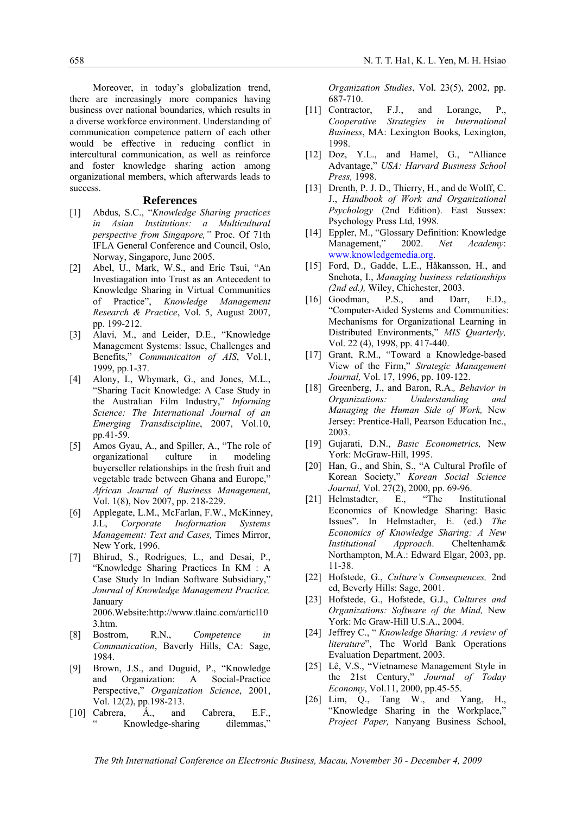Moreover, in today's globalization trend, there are increasingly more companies having business over national boundaries, which results in a diverse workforce environment. Understanding of communication competence pattern of each other would be effective in reducing conflict in intercultural communication, as well as reinforce and foster knowledge sharing action among organizational members, which afterwards leads to success.

#### **References**

- [1] Abdus, S.C., "*Knowledge Sharing practices in Asian Institutions: a Multicultural perspective from Singapore,"* Proc. Of 71th IFLA General Conference and Council, Oslo, Norway, Singapore, June 2005.
- [2] Abel, U., Mark, W.S., and Eric Tsui, "An Investiagation into Trust as an Antecedent to Knowledge Sharing in Virtual Communities of Practice", *Knowledge Management Research & Practice*, Vol. 5, August 2007, pp. 199-212.
- [3] Alavi, M., and Leider, D.E., "Knowledge Management Systems: Issue, Challenges and Benefits," *Communicaiton of AIS*, Vol.1, 1999, pp.1-37.
- [4] Alony, I., Whymark, G., and Jones, M.L., "Sharing Tacit Knowledge: A Case Study in the Australian Film Industry," *Informing Science: The International Journal of an Emerging Transdiscipline*, 2007, Vol.10, pp.41-59.
- [5] Amos Gyau, A., and Spiller, A., "The role of organizational culture in modeling buyerseller relationships in the fresh fruit and vegetable trade between Ghana and Europe," *African Journal of Business Management*, Vol. 1(8), Nov 2007, pp. 218-229.
- [6] Applegate, L.M., McFarlan, F.W., McKinney, J.L, *Corporate Inoformation Systems Management: Text and Cases,* Times Mirror, New York, 1996.
- [7] Bhirud, S., Rodrigues, L., and Desai, P., "Knowledge Sharing Practices In KM : A Case Study In Indian Software Subsidiary," *Journal of Knowledge Management Practice,*  January

2006.Website:http://www.tlainc.com/articl10 3.htm.

- [8] Bostrom, R.N., *Competence in Communication*, Baverly Hills, CA: Sage, 1984.
- [9] Brown, J.S., and Duguid, P., "Knowledge and Organization: A Social-Practice Perspective," *Organization Science*, 2001, Vol. 12(2), pp.198-213.
- [10] Cabrera, A., and Cabrera, E.F., Knowledge-sharing dilemmas,"

*Organization Studies*, Vol. 23(5), 2002, pp. 687-710.

- [11] Contractor, F.J., and Lorange, P., *Cooperative Strategies in International Business*, MA: Lexington Books, Lexington, 1998.
- [12] Doz, Y.L., and Hamel, G., "Alliance Advantage," *USA: Harvard Business School Press,* 1998.
- [13] Drenth, P. J. D., Thierry, H., and de Wolff, C. J., *Handbook of Work and Organizational Psychology* (2nd Edition). East Sussex: Psychology Press Ltd, 1998.
- [14] Eppler, M., "Glossary Definition: Knowledge Management," 2002. *Net Academy*: www.knowledgemedia.org.
- [15] Ford, D., Gadde, L.E., Håkansson, H., and Snehota, I., *Managing business relationships (2nd ed.),* Wiley, Chichester, 2003.
- [16] Goodman, P.S., and Darr, E.D., "Computer-Aided Systems and Communities: Mechanisms for Organizational Learning in Distributed Environments," *MIS Quarterly,*  Vol. 22 (4), 1998, pp. 417-440.
- [17] Grant, R.M., "Toward a Knowledge-based View of the Firm," *Strategic Management Journal,* Vol. 17, 1996, pp. 109-122.
- [18] Greenberg, J., and Baron, R.A.*, Behavior in Organizations: Understanding and Managing the Human Side of Work,* New Jersey: Prentice-Hall, Pearson Education Inc., 2003.
- [19] Gujarati, D.N., *Basic Econometrics,* New York: McGraw-Hill, 1995.
- [20] Han, G., and Shin, S., "A Cultural Profile of Korean Society," *Korean Social Science Journal*, Vol. 27(2), 2000, pp. 69-96.<br>Helmstadter, E., "The Inst
- [21] Helmstadter, E., "The Institutional Economics of Knowledge Sharing: Basic Issues". In Helmstadter, E. (ed.) *The Economics of Knowledge Sharing: A New Institutional Approach*. Cheltenham& Northampton, M.A.: Edward Elgar, 2003, pp. 11-38.
- [22] Hofstede, G., *Culture's Consequences,* 2nd ed, Beverly Hills: Sage, 2001.
- [23] Hofstede, G., Hofstede, G.J., *Cultures and Organizations: Software of the Mind,* New York: Mc Graw-Hill U.S.A., 2004.
- [24] Jeffrey C., " *Knowledge Sharing: A review of literature*", The World Bank Operations Evaluation Department, 2003.
- [25] Lê, V.S., "Vietnamese Management Style in the 21st Century," *Journal of Today Economy*, Vol.11, 2000, pp.45-55.
- [26] Lim, Q., Tang W., and Yang, H., "Knowledge Sharing in the Workplace," *Project Paper,* Nanyang Business School,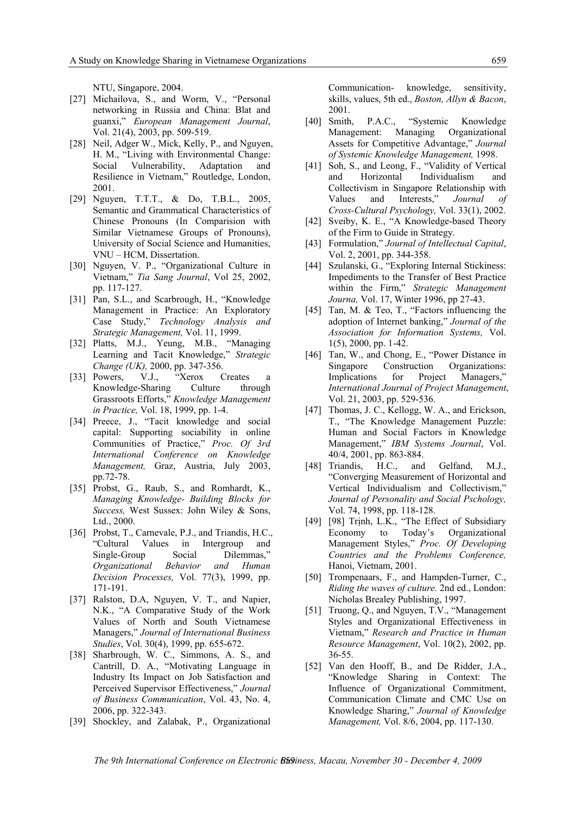NTU, Singapore, 2004.

- [27] Michailova, S., and Worm, V., "Personal networking in Russia and China: Blat and guanxi," *European Management Journal*, Vol. 21(4), 2003, pp. 509-519.
- [28] Neil, Adger W., Mick, Kelly, P., and Nguyen, H. M., "Living with Environmental Change: Social Vulnerability, Adaptation and Resilience in Vietnam," Routledge, London, 2001.
- [29] Nguyen, T.T.T., & Do, T.B.L., 2005, Semantic and Grammatical Characteristics of Chinese Pronouns (In Comparision with Similar Vietnamese Groups of Pronouns), University of Social Science and Humanities, VNU – HCM, Dissertation.
- [30] Nguyen, V. P., "Organizational Culture in Vietnam," *Tia Sang Journal*, Vol 25, 2002, pp. 117-127.
- [31] Pan, S.L., and Scarbrough, H., "Knowledge Management in Practice: An Exploratory Case Study," *Technology Analysis and Strategic Management,* Vol. 11, 1999.
- [32] Platts, M.J., Yeung, M.B., "Managing Learning and Tacit Knowledge," *Strategic Change (UK),* 2000, pp. 347-356.
- [33] Powers, V.J., "Xerox Creates Knowledge-Sharing Culture through Grassroots Efforts," *Knowledge Management in Practice,* Vol. 18, 1999, pp. 1-4.
- [34] Preece, J., "Tacit knowledge and social capital: Supporting sociability in online Communities of Practice," *Proc. Of 3rd International Conference on Knowledge Management,* Graz, Austria, July 2003, pp.72-78.
- [35] Probst, G., Raub, S., and Romhardt, K., *Managing Knowledge- Building Blocks for Success,* West Sussex: John Wiley & Sons, Ltd., 2000.
- [36] Probst, T., Carnevale, P.J., and Triandis, H.C., "Cultural Values in Intergroup and Single-Group Social Dilemmas," *Organizational Behavior and Human Decision Processes,* Vol. 77(3), 1999, pp. 171-191.
- [37] Ralston, D.A, Nguyen, V. T., and Napier, N.K., "A Comparative Study of the Work Values of North and South Vietnamese Managers," *Journal of International Business Studies*, Vol. 30(4), 1999, pp. 655-672.
- [38] Sharbrough, W. C., Simmons, A. S., and Cantrill, D. A., "Motivating Language in Industry Its Impact on Job Satisfaction and Perceived Supervisor Effectiveness," *Journal of Business Communication*, Vol. 43, No. 4, 2006, pp. 322-343.
- [39] Shockley, and Zalabak, P., Organizational

Communication- knowledge, sensitivity, skills, values, 5th ed., *Boston, Allyn & Bacon*, 2001.

- [40] Smith, P.A.C., "Systemic Knowledge Management: Managing Organizational Assets for Competitive Advantage," *Journal of Systemic Knowledge Management,* 1998.
- [41] Soh, S., and Leong, F., "Validity of Vertical and Horizontal Individualism and Collectivism in Singapore Relationship with Values and Interests," *Journal of Cross-Cultural Psychology,* Vol. 33(1), 2002.
- [42] Sveiby, K. E., "A Knowledge-based Theory of the Firm to Guide in Strategy.
- [43] Formulation," *Journal of Intellectual Capital*, Vol. 2, 2001, pp. 344-358.
- [44] Szulanski, G., "Exploring Internal Stickiness: Impediments to the Transfer of Best Practice within the Firm," *Strategic Management Journa,* Vol. 17, Winter 1996, pp 27-43.
- [45] Tan, M. & Teo, T., "Factors influencing the adoption of Internet banking," *Journal of the Association for Information Systems,* Vol. 1(5), 2000, pp. 1-42.
- [46] Tan, W., and Chong, E., "Power Distance in Singapore Construction Organizations: Implications for Project Managers," *International Journal of Project Management*, Vol. 21, 2003, pp. 529-536.
- [47] Thomas, J. C., Kellogg, W. A., and Erickson, T., "The Knowledge Management Puzzle: Human and Social Factors in Knowledge Management," *IBM Systems Journal*, Vol. 40/4, 2001, pp. 863-884.
- [48] Triandis, H.C., and Gelfand, M.J., "Converging Measurement of Horizontal and Vertical Individualism and Collectivism," *Journal of Personality and Social Pschology,*  Vol. 74, 1998, pp. 118-128.
- [49] [98] Trịnh, L.K., "The Effect of Subsidiary Economy to Today's Organizational Management Styles," *Proc. Of Developing Countries and the Problems Conference,*  Hanoi, Vietnam, 2001.
- [50] Trompenaars, F., and Hampden-Turner, C., *Riding the waves of culture.* 2nd ed., London: Nicholas Brealey Publishing, 1997.
- [51] Truong, Q., and Nguyen, T.V., "Management" Styles and Organizational Effectiveness in Vietnam," *Research and Practice in Human Resource Management*, Vol. 10(2), 2002, pp. 36-55.
- [52] Van den Hooff, B., and De Ridder, J.A., "Knowledge Sharing in Context: The Influence of Organizational Commitment, Communication Climate and CMC Use on Knowledge Sharing," *Journal of Knowledge Management,* Vol. 8/6, 2004, pp. 117-130.